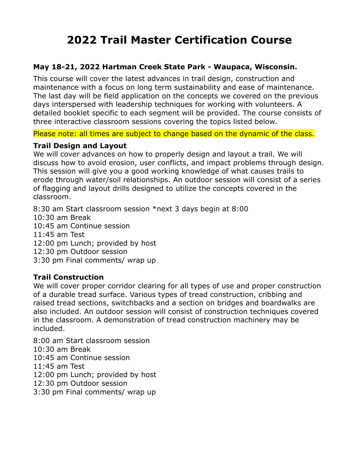# **2022 Trail Master Certification Course**

## **May 18-21, 2022 Hartman Creek State Park - Waupaca, Wisconsin.**

This course will cover the latest advances in trail design, construction and maintenance with a focus on long term sustainability and ease of maintenance. The last day will be field application on the concepts we covered on the previous days interspersed with leadership techniques for working with volunteers. A detailed booklet specific to each segment will be provided. The course consists of three interactive classroom sessions covering the topics listed below.

#### Please note: all times are subject to change based on the dynamic of the class.

#### **Trail Design and Layout**

We will cover advances on how to properly design and layout a trail. We will discuss how to avoid erosion, user conflicts, and impact problems through design. This session will give you a good working knowledge of what causes trails to erode through water/soil relationships. An outdoor session will consist of a series of flagging and layout drills designed to utilize the concepts covered in the classroom.

8:30 am Start classroom session \*next 3 days begin at 8:00 10:30 am Break 10:45 am Continue session 11:45 am Test 12:00 pm Lunch; provided by host 12:30 pm Outdoor session 3:30 pm Final comments/ wrap up

## **Trail Construction**

We will cover proper corridor clearing for all types of use and proper construction of a durable tread surface. Various types of tread construction, cribbing and raised tread sections, switchbacks and a section on bridges and boardwalks are also included. An outdoor session will consist of construction techniques covered in the classroom. A demonstration of tread construction machinery may be included.

8:00 am Start classroom session 10:30 am Break 10:45 am Continue session 11:45 am Test 12:00 pm Lunch; provided by host 12:30 pm Outdoor session 3:30 pm Final comments/ wrap up